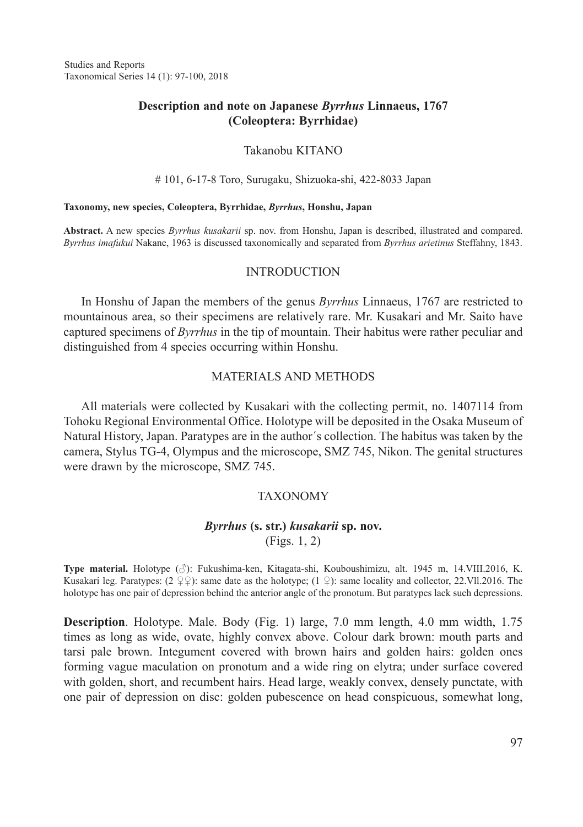# **Description and note on Japanese** *Byrrhus* **Linnaeus, 1767 (Coleoptera: Byrrhidae)**

### Takanobu KITANO

#### # 101, 6-17-8 Toro, Surugaku, Shizuoka-shi, 422-8033 Japan

#### **Taxonomy, new species, Coleoptera, Byrrhidae,** *Byrrhus***, Honshu, Japan**

**Abstract.** A new species *Byrrhus kusakarii* sp. nov. from Honshu, Japan is described, illustrated and compared. *Byrrhus imafukui* Nakane, 1963 is discussed taxonomically and separated from *Byrrhus arietinus* Steffahny, 1843.

#### INTRODUCTION

In Honshu of Japan the members of the genus *Byrrhus* Linnaeus, 1767 are restricted to mountainous area, so their specimens are relatively rare. Mr. Kusakari and Mr. Saito have captured specimens of *Byrrhus* in the tip of mountain. Their habitus were rather peculiar and distinguished from 4 species occurring within Honshu.

# MATERIALS AND METHODS

All materials were collected by Kusakari with the collecting permit, no. 1407114 from Tohoku Regional Environmental Office. Holotype will be deposited in the Osaka Museum of Natural History, Japan. Paratypes are in the author´s collection. The habitus was taken by the camera, Stylus TG-4, Olympus and the microscope, SMZ 745, Nikon. The genital structures were drawn by the microscope, SMZ 745.

## **TAXONOMY**

# *Byrrhus* **(s. str.)** *kusakarii* **sp. nov.**

(Figs. 1, 2)

**Type material.** Holotype (♂): Fukushima-ken, Kitagata-shi, Kouboushimizu, alt. 1945 m, 14.VIII.2016, K. Kusakari leg. Paratypes:  $(2 \n\t\leq \n\t\leq 2)$ : same date as the holotype;  $(1 \n\t\leq 2)$ : same locality and collector, 22.VII.2016. The holotype has one pair of depression behind the anterior angle of the pronotum. But paratypes lack such depressions.

**Description**. Holotype. Male. Body (Fig. 1) large, 7.0 mm length, 4.0 mm width, 1.75 times as long as wide, ovate, highly convex above. Colour dark brown: mouth parts and tarsi pale brown. Integument covered with brown hairs and golden hairs: golden ones forming vague maculation on pronotum and a wide ring on elytra; under surface covered with golden, short, and recumbent hairs. Head large, weakly convex, densely punctate, with one pair of depression on disc: golden pubescence on head conspicuous, somewhat long,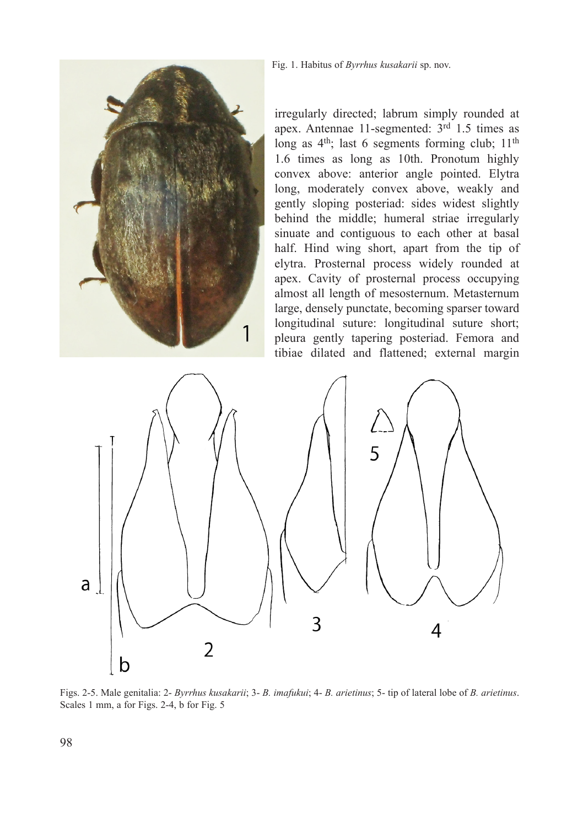

Fig. 1. Habitus of *Byrrhus kusakarii* sp. nov.

irregularly directed; labrum simply rounded at apex. Antennae 11-segmented: 3rd 1.5 times as long as  $4<sup>th</sup>$ ; last 6 segments forming club; 11<sup>th</sup> 1.6 times as long as 10th. Pronotum highly convex above: anterior angle pointed. Elytra long, moderately convex above, weakly and gently sloping posteriad: sides widest slightly behind the middle; humeral striae irregularly sinuate and contiguous to each other at basal half. Hind wing short, apart from the tip of elytra. Prosternal process widely rounded at apex. Cavity of prosternal process occupying almost all length of mesosternum. Metasternum large, densely punctate, becoming sparser toward longitudinal suture: longitudinal suture short; pleura gently tapering posteriad. Femora and tibiae dilated and flattened; external margin



Figs. 2-5. Male genitalia: 2- *Byrrhus kusakarii*; 3- *B. imafukui*; 4- *B. arietinus*; 5- tip of lateral lobe of *B. arietinus*. Scales 1 mm, a for Figs. 2-4, b for Fig. 5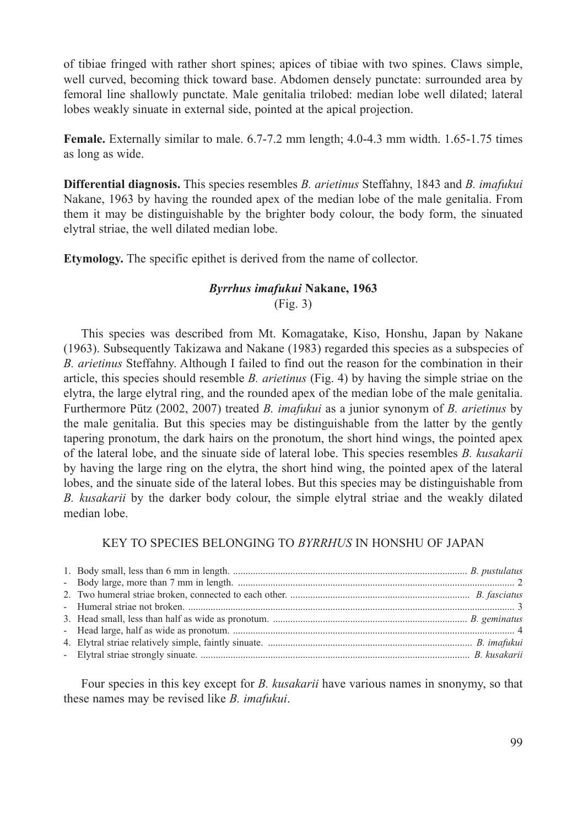of tibiae fringed with rather short spines; apices of tibiae with two spines. Claws simple, well curved, becoming thick toward base. Abdomen densely punctate: surrounded area by femoral line shallowly punctate. Male genitalia trilobed: median lobe well dilated; lateral lobes weakly sinuate in external side, pointed at the apical projection.

**Female.** Externally similar to male. 6.7-7.2 mm length; 4.0-4.3 mm width. 1.65-1.75 times as long as wide.

**Differential diagnosis.** This species resembles *B. arietinus* Steffahny, 1843 and *B. imafukui* Nakane, 1963 by having the rounded apex of the median lobe of the male genitalia. From them it may be distinguishable by the brighter body colour, the body form, the sinuated elytral striae, the well dilated median lobe.

**Etymology.** The specific epithet is derived from the name of collector.

# *Byrrhus imafukui* **Nakane, 1963**

(Fig. 3)

This species was described from Mt. Komagatake, Kiso, Honshu, Japan by Nakane (1963). Subsequently Takizawa and Nakane (1983) regarded this species as a subspecies of *B. arietinus* Steffahny. Although I failed to find out the reason for the combination in their article, this species should resemble *B. arietinus* (Fig. 4) by having the simple striae on the elytra, the large elytral ring, and the rounded apex of the median lobe of the male genitalia. Furthermore Pütz (2002, 2007) treated *B. imafukui* as a junior synonym of *B. arietinus* by the male genitalia. But this species may be distinguishable from the latter by the gently tapering pronotum, the dark hairs on the pronotum, the short hind wings, the pointed apex of the lateral lobe, and the sinuate side of lateral lobe. This species resembles *B. kusakarii* by having the large ring on the elytra, the short hind wing, the pointed apex of the lateral lobes, and the sinuate side of the lateral lobes. But this species may be distinguishable from *B. kusakarii* by the darker body colour, the simple elytral striae and the weakly dilated median lobe.

### KEY TO SPECIES BELONGING TO *BYRRHUS* IN HONSHU OF JAPAN

Four species in this key except for *B. kusakarii* have various names in snonymy, so that these names may be revised like *B. imafukui*.